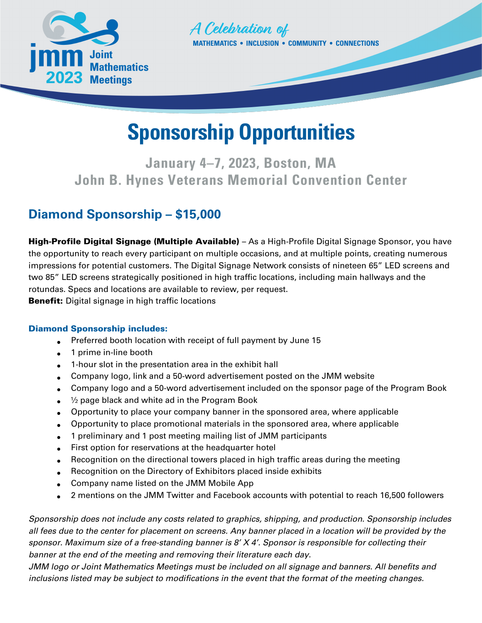



# **Sponsorship Opportunities**

**January 4–7, 2023, Boston, MA John B. Hynes Veterans Memorial Convention Center**

# **Diamond Sponsorship – \$15,000**

High-Profile Digital Signage (Multiple Available) – As a High-Profile Digital Signage Sponsor, you have the opportunity to reach every participant on multiple occasions, and at multiple points, creating numerous impressions for potential customers. The Digital Signage Network consists of nineteen 65" LED screens and two 85" LED screens strategically positioned in high traffic locations, including main hallways and the rotundas. Specs and locations are available to review, per request. **Benefit:** Digital signage in high traffic locations

## Diamond Sponsorship includes:

- Preferred booth location with receipt of full payment by June 15
- 1 prime in-line booth
- 1-hour slot in the presentation area in the exhibit hall
- Company logo, link and a 50-word advertisement posted on the JMM website
- Company logo and a 50-word advertisement included on the sponsor page of the Program Book
- $\frac{1}{2}$  page black and white ad in the Program Book
- Opportunity to place your company banner in the sponsored area, where applicable
- Opportunity to place promotional materials in the sponsored area, where applicable
- 1 preliminary and 1 post meeting mailing list of JMM participants
- First option for reservations at the headquarter hotel
- Recognition on the directional towers placed in high traffic areas during the meeting
- Recognition on the Directory of Exhibitors placed inside exhibits
- Company name listed on the JMM Mobile App
- 2 mentions on the JMM Twitter and Facebook accounts with potential to reach 16,500 followers

*Sponsorship does not include any costs related to graphics, shipping, and production. Sponsorship includes all fees due to the center for placement on screens. Any banner placed in a location will be provided by the sponsor. Maximum size of a free-standing banner is 8' X 4'. Sponsor is responsible for collecting their banner at the end of the meeting and removing their literature each day.* 

*JMM logo or Joint Mathematics Meetings must be included on all signage and banners. All benefits and inclusions listed may be subject to modifications in the event that the format of the meeting changes.*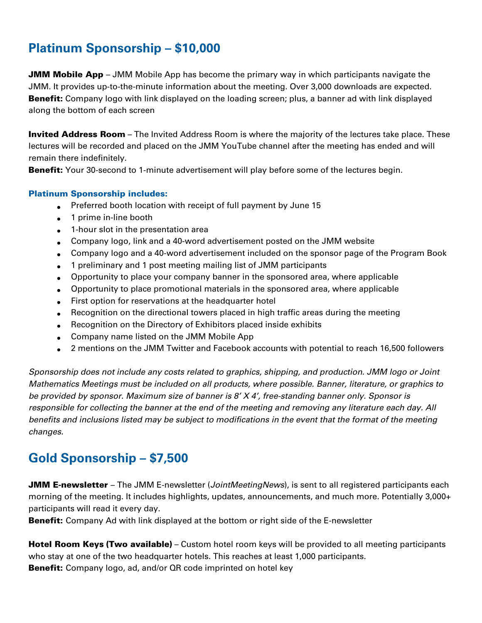# **Platinum Sponsorship – \$10,000**

**JMM Mobile App** – JMM Mobile App has become the primary way in which participants navigate the JMM. It provides up-to-the-minute information about the meeting. Over 3,000 downloads are expected. **Benefit:** Company logo with link displayed on the loading screen; plus, a banner ad with link displayed along the bottom of each screen

Invited Address Room – The Invited Address Room is where the majority of the lectures take place. These lectures will be recorded and placed on the JMM YouTube channel after the meeting has ended and will remain there indefinitely.

**Benefit:** Your 30-second to 1-minute advertisement will play before some of the lectures begin.

## Platinum Sponsorship includes:

- Preferred booth location with receipt of full payment by June 15
- 1 prime in-line booth
- 1-hour slot in the presentation area
- Company logo, link and a 40-word advertisement posted on the JMM website
- Company logo and a 40-word advertisement included on the sponsor page of the Program Book
- 1 preliminary and 1 post meeting mailing list of JMM participants
- Opportunity to place your company banner in the sponsored area, where applicable
- Opportunity to place promotional materials in the sponsored area, where applicable
- First option for reservations at the headquarter hotel
- Recognition on the directional towers placed in high traffic areas during the meeting
- Recognition on the Directory of Exhibitors placed inside exhibits
- Company name listed on the JMM Mobile App
- 2 mentions on the JMM Twitter and Facebook accounts with potential to reach 16,500 followers

*Sponsorship does not include any costs related to graphics, shipping, and production. JMM logo or Joint Mathematics Meetings must be included on all products, where possible. Banner, literature, or graphics to be provided by sponsor. Maximum size of banner is 8' X 4', free-standing banner only. Sponsor is responsible for collecting the banner at the end of the meeting and removing any literature each day. All benefits and inclusions listed may be subject to modifications in the event that the format of the meeting changes.*

# **Gold Sponsorship – \$7,500**

JMM E-newsletter – The JMM E-newsletter (*JointMeetingNews*), is sent to all registered participants each morning of the meeting. It includes highlights, updates, announcements, and much more. Potentially 3,000+ participants will read it every day.

**Benefit:** Company Ad with link displayed at the bottom or right side of the E-newsletter

Hotel Room Keys (Two available) – Custom hotel room keys will be provided to all meeting participants who stay at one of the two headquarter hotels. This reaches at least 1,000 participants. **Benefit:** Company logo, ad, and/or QR code imprinted on hotel key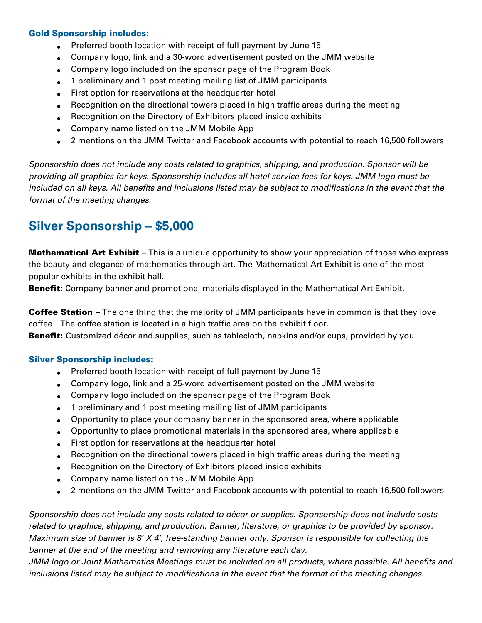### Gold Sponsorship includes:

- Preferred booth location with receipt of full payment by June 15
- Company logo, link and a 30-word advertisement posted on the JMM website
- Company logo included on the sponsor page of the Program Book
- 1 preliminary and 1 post meeting mailing list of JMM participants
- First option for reservations at the headquarter hotel
- Recognition on the directional towers placed in high traffic areas during the meeting
- Recognition on the Directory of Exhibitors placed inside exhibits
- Company name listed on the JMM Mobile App
- 2 mentions on the JMM Twitter and Facebook accounts with potential to reach 16,500 followers

*Sponsorship does not include any costs related to graphics, shipping, and production. Sponsor will be providing all graphics for keys. Sponsorship includes all hotel service fees for keys. JMM logo must be included on all keys. All benefits and inclusions listed may be subject to modifications in the event that the format of the meeting changes.*

## **Silver Sponsorship – \$5,000**

**Mathematical Art Exhibit** – This is a unique opportunity to show your appreciation of those who express the beauty and elegance of mathematics through art. The Mathematical Art Exhibit is one of the most popular exhibits in the exhibit hall.

Benefit: Company banner and promotional materials displayed in the Mathematical Art Exhibit.

**Coffee Station** – The one thing that the majority of JMM participants have in common is that they love coffee! The coffee station is located in a high traffic area on the exhibit floor.

**Benefit:** Customized décor and supplies, such as tablecloth, napkins and/or cups, provided by you

#### Silver Sponsorship includes:

- Preferred booth location with receipt of full payment by June 15
- Company logo, link and a 25-word advertisement posted on the JMM website
- Company logo included on the sponsor page of the Program Book
- 1 preliminary and 1 post meeting mailing list of JMM participants
- Opportunity to place your company banner in the sponsored area, where applicable
- Opportunity to place promotional materials in the sponsored area, where applicable
- First option for reservations at the headquarter hotel
- Recognition on the directional towers placed in high traffic areas during the meeting
- Recognition on the Directory of Exhibitors placed inside exhibits
- Company name listed on the JMM Mobile App
- 2 mentions on the JMM Twitter and Facebook accounts with potential to reach 16,500 followers

*Sponsorship does not include any costs related to décor or supplies. Sponsorship does not include costs related to graphics, shipping, and production. Banner, literature, or graphics to be provided by sponsor. Maximum size of banner is 8' X 4', free-standing banner only. Sponsor is responsible for collecting the banner at the end of the meeting and removing any literature each day.* 

*JMM logo or Joint Mathematics Meetings must be included on all products, where possible. All benefits and inclusions listed may be subject to modifications in the event that the format of the meeting changes.*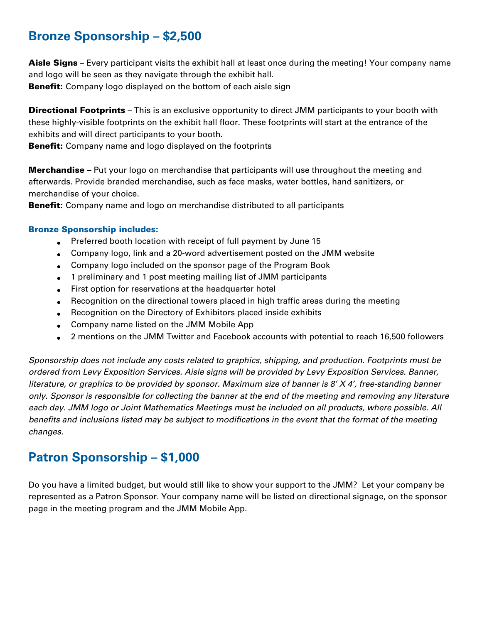# **Bronze Sponsorship – \$2,500**

Aisle Signs – Every participant visits the exhibit hall at least once during the meeting! Your company name and logo will be seen as they navigate through the exhibit hall.

**Benefit:** Company logo displayed on the bottom of each aisle sign

**Directional Footprints** – This is an exclusive opportunity to direct JMM participants to your booth with these highly-visible footprints on the exhibit hall floor. These footprints will start at the entrance of the exhibits and will direct participants to your booth.

**Benefit:** Company name and logo displayed on the footprints

**Merchandise** – Put your logo on merchandise that participants will use throughout the meeting and afterwards. Provide branded merchandise, such as face masks, water bottles, hand sanitizers, or merchandise of your choice.

**Benefit:** Company name and logo on merchandise distributed to all participants

## Bronze Sponsorship includes:

- Preferred booth location with receipt of full payment by June 15
- Company logo, link and a 20-word advertisement posted on the JMM website
- Company logo included on the sponsor page of the Program Book
- 1 preliminary and 1 post meeting mailing list of JMM participants
- First option for reservations at the headquarter hotel
- Recognition on the directional towers placed in high traffic areas during the meeting
- Recognition on the Directory of Exhibitors placed inside exhibits
- Company name listed on the JMM Mobile App
- 2 mentions on the JMM Twitter and Facebook accounts with potential to reach 16,500 followers

*Sponsorship does not include any costs related to graphics, shipping, and production. Footprints must be ordered from Levy Exposition Services. Aisle signs will be provided by Levy Exposition Services. Banner, literature, or graphics to be provided by sponsor. Maximum size of banner is 8' X 4', free-standing banner only. Sponsor is responsible for collecting the banner at the end of the meeting and removing any literature each day. JMM logo or Joint Mathematics Meetings must be included on all products, where possible. All benefits and inclusions listed may be subject to modifications in the event that the format of the meeting changes.*

# **Patron Sponsorship – \$1,000**

Do you have a limited budget, but would still like to show your support to the JMM? Let your company be represented as a Patron Sponsor. Your company name will be listed on directional signage, on the sponsor page in the meeting program and the JMM Mobile App.